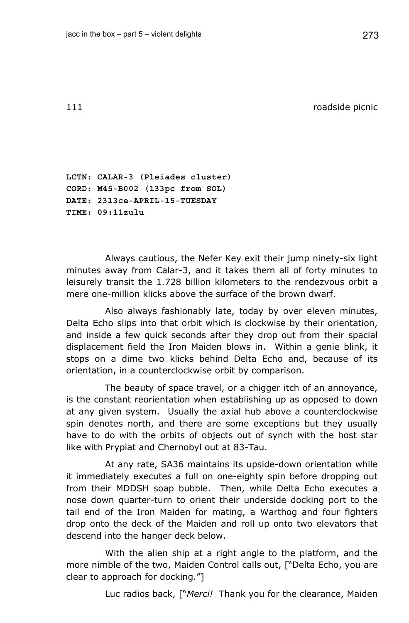111 **111 roadside picnic** 

**LCTN: CALAR-3 (Pleiades cluster) CORD: M45-B002 (133pc from SOL) DATE: 2313ce-APRIL-15-TUESDAY TIME: 09:11zulu** 

Always cautious, the Nefer Key exit their jump ninety-six light minutes away from Calar-3, and it takes them all of forty minutes to leisurely transit the 1.728 billion kilometers to the rendezvous orbit a mere one-million klicks above the surface of the brown dwarf.

Also always fashionably late, today by over eleven minutes, Delta Echo slips into that orbit which is clockwise by their orientation, and inside a few quick seconds after they drop out from their spacial displacement field the Iron Maiden blows in. Within a genie blink, it stops on a dime two klicks behind Delta Echo and, because of its orientation, in a counterclockwise orbit by comparison.

The beauty of space travel, or a chigger itch of an annoyance, is the constant reorientation when establishing up as opposed to down at any given system. Usually the axial hub above a counterclockwise spin denotes north, and there are some exceptions but they usually have to do with the orbits of objects out of synch with the host star like with Prypiat and Chernobyl out at 83-Tau.

At any rate, SA36 maintains its upside-down orientation while it immediately executes a full on one-eighty spin before dropping out from their MDDSH soap bubble. Then, while Delta Echo executes a nose down quarter-turn to orient their underside docking port to the tail end of the Iron Maiden for mating, a Warthog and four fighters drop onto the deck of the Maiden and roll up onto two elevators that descend into the hanger deck below.

With the alien ship at a right angle to the platform, and the more nimble of the two, Maiden Control calls out, ["Delta Echo, you are clear to approach for docking."]

Luc radios back, ["*Merci!* Thank you for the clearance, Maiden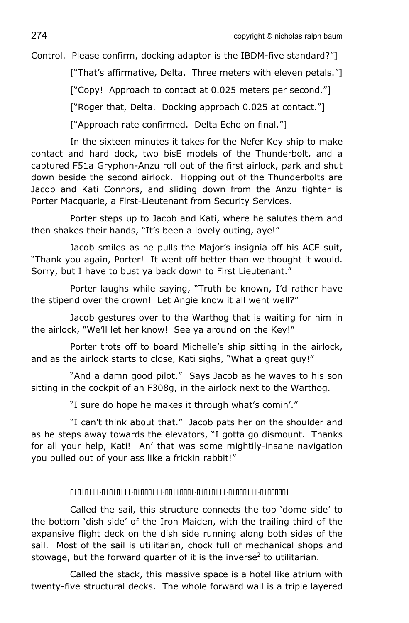Control. Please confirm, docking adaptor is the IBDM-five standard?"]

["That's affirmative, Delta. Three meters with eleven petals."] ["Copy! Approach to contact at 0.025 meters per second."] ["Roger that, Delta. Docking approach 0.025 at contact."] ["Approach rate confirmed. Delta Echo on final."]

In the sixteen minutes it takes for the Nefer Key ship to make contact and hard dock, two bisE models of the Thunderbolt, and a captured F51a Gryphon-Anzu roll out of the first airlock, park and shut down beside the second airlock. Hopping out of the Thunderbolts are Jacob and Kati Connors, and sliding down from the Anzu fighter is Porter Macquarie, a First-Lieutenant from Security Services.

Porter steps up to Jacob and Kati, where he salutes them and then shakes their hands, "It's been a lovely outing, aye!"

Jacob smiles as he pulls the Major's insignia off his ACE suit, "Thank you again, Porter! It went off better than we thought it would. Sorry, but I have to bust ya back down to First Lieutenant."

Porter laughs while saying, "Truth be known, I'd rather have the stipend over the crown! Let Angie know it all went well?"

Jacob gestures over to the Warthog that is waiting for him in the airlock, "We'll let her know! See ya around on the Key!"

Porter trots off to board Michelle's ship sitting in the airlock, and as the airlock starts to close, Kati sighs, "What a great guy!"

"And a damn good pilot." Says Jacob as he waves to his son sitting in the cockpit of an F308g, in the airlock next to the Warthog.

"I sure do hope he makes it through what's comin'."

"I can't think about that." Jacob pats her on the shoulder and as he steps away towards the elevators, "I gotta go dismount. Thanks for all your help, Kati! An' that was some mightily-insane navigation you pulled out of your ass like a frickin rabbit!"

## 01010111-01010111-01000111-00110001-01010111-01000111-01000001

Called the sail, this structure connects the top 'dome side' to the bottom 'dish side' of the Iron Maiden, with the trailing third of the expansive flight deck on the dish side running along both sides of the sail. Most of the sail is utilitarian, chock full of mechanical shops and stowage, but the forward quarter of it is the inverse<sup>2</sup> to utilitarian.

Called the stack, this massive space is a hotel like atrium with twenty-five structural decks. The whole forward wall is a triple layered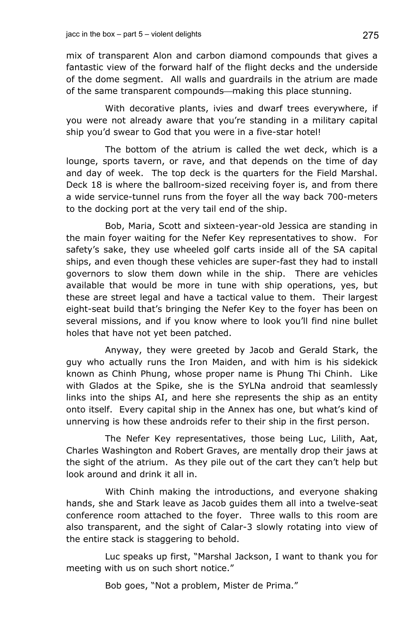mix of transparent Alon and carbon diamond compounds that gives a fantastic view of the forward half of the flight decks and the underside of the dome segment. All walls and guardrails in the atrium are made of the same transparent compounds—making this place stunning.

With decorative plants, ivies and dwarf trees everywhere, if you were not already aware that you're standing in a military capital ship you'd swear to God that you were in a five-star hotel!

The bottom of the atrium is called the wet deck, which is a lounge, sports tavern, or rave, and that depends on the time of day and day of week. The top deck is the quarters for the Field Marshal. Deck 18 is where the ballroom-sized receiving foyer is, and from there a wide service-tunnel runs from the foyer all the way back 700-meters to the docking port at the very tail end of the ship.

Bob, Maria, Scott and sixteen-year-old Jessica are standing in the main foyer waiting for the Nefer Key representatives to show. For safety's sake, they use wheeled golf carts inside all of the SA capital ships, and even though these vehicles are super-fast they had to install governors to slow them down while in the ship. There are vehicles available that would be more in tune with ship operations, yes, but these are street legal and have a tactical value to them. Their largest eight-seat build that's bringing the Nefer Key to the foyer has been on several missions, and if you know where to look you'll find nine bullet holes that have not yet been patched.

Anyway, they were greeted by Jacob and Gerald Stark, the guy who actually runs the Iron Maiden, and with him is his sidekick known as Chinh Phung, whose proper name is Phung Thi Chinh. Like with Glados at the Spike, she is the SYLNa android that seamlessly links into the ships AI, and here she represents the ship as an entity onto itself. Every capital ship in the Annex has one, but what's kind of unnerving is how these androids refer to their ship in the first person.

The Nefer Key representatives, those being Luc, Lilith, Aat, Charles Washington and Robert Graves, are mentally drop their jaws at the sight of the atrium. As they pile out of the cart they can't help but look around and drink it all in.

With Chinh making the introductions, and everyone shaking hands, she and Stark leave as Jacob guides them all into a twelve-seat conference room attached to the foyer. Three walls to this room are also transparent, and the sight of Calar-3 slowly rotating into view of the entire stack is staggering to behold.

Luc speaks up first, "Marshal Jackson, I want to thank you for meeting with us on such short notice."

Bob goes, "Not a problem, Mister de Prima."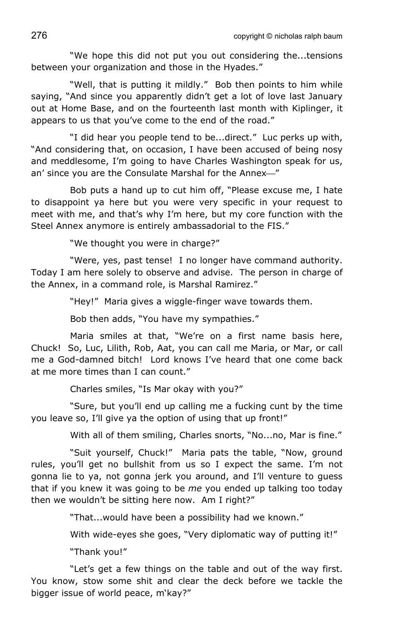"We hope this did not put you out considering the...tensions between your organization and those in the Hyades."

"Well, that is putting it mildly." Bob then points to him while saying, "And since you apparently didn't get a lot of love last January out at Home Base, and on the fourteenth last month with Kiplinger, it appears to us that you've come to the end of the road."

"I did hear you people tend to be...direct." Luc perks up with, "And considering that, on occasion, I have been accused of being nosy and meddlesome, I'm going to have Charles Washington speak for us, an' since you are the Consulate Marshal for the Annex-"

Bob puts a hand up to cut him off, "Please excuse me, I hate to disappoint ya here but you were very specific in your request to meet with me, and that's why I'm here, but my core function with the Steel Annex anymore is entirely ambassadorial to the FIS."

"We thought you were in charge?"

"Were, yes, past tense! I no longer have command authority. Today I am here solely to observe and advise. The person in charge of the Annex, in a command role, is Marshal Ramirez."

"Hey!" Maria gives a wiggle-finger wave towards them.

Bob then adds, "You have my sympathies."

Maria smiles at that, "We're on a first name basis here, Chuck! So, Luc, Lilith, Rob, Aat, you can call me Maria, or Mar, or call me a God-damned bitch! Lord knows I've heard that one come back at me more times than I can count."

Charles smiles, "Is Mar okay with you?"

"Sure, but you'll end up calling me a fucking cunt by the time you leave so, I'll give ya the option of using that up front!"

With all of them smiling, Charles snorts, "No...no, Mar is fine."

"Suit yourself, Chuck!" Maria pats the table, "Now, ground rules, you'll get no bullshit from us so I expect the same. I'm not gonna lie to ya, not gonna jerk you around, and I'll venture to guess that if you knew it was going to be *me* you ended up talking too today then we wouldn't be sitting here now. Am I right?"

"That...would have been a possibility had we known."

With wide-eyes she goes, "Very diplomatic way of putting it!"

"Thank you!"

"Let's get a few things on the table and out of the way first. You know, stow some shit and clear the deck before we tackle the bigger issue of world peace, m'kay?"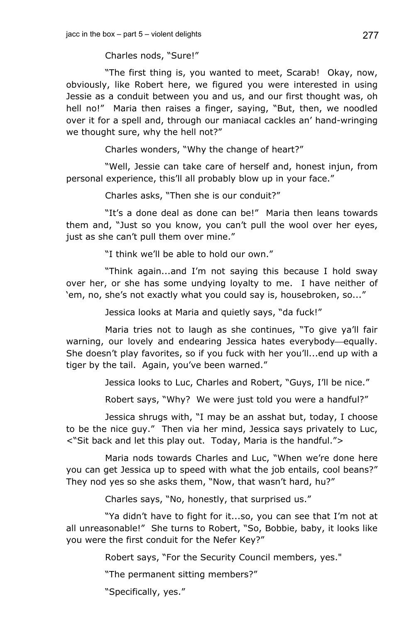Charles nods, "Sure!"

"The first thing is, you wanted to meet, Scarab! Okay, now, obviously, like Robert here, we figured you were interested in using Jessie as a conduit between you and us, and our first thought was, oh hell no!" Maria then raises a finger, saying, "But, then, we noodled over it for a spell and, through our maniacal cackles an' hand-wringing we thought sure, why the hell not?"

Charles wonders, "Why the change of heart?"

"Well, Jessie can take care of herself and, honest injun, from personal experience, this'll all probably blow up in your face."

Charles asks, "Then she is our conduit?"

"It's a done deal as done can be!" Maria then leans towards them and, "Just so you know, you can't pull the wool over her eyes, just as she can't pull them over mine."

"I think we'll be able to hold our own."

"Think again...and I'm not saying this because I hold sway over her, or she has some undying loyalty to me. I have neither of 'em, no, she's not exactly what you could say is, housebroken, so..."

Jessica looks at Maria and quietly says, "da fuck!"

Maria tries not to laugh as she continues, "To give ya'll fair warning, our lovely and endearing Jessica hates everybody-equally. She doesn't play favorites, so if you fuck with her you'll...end up with a tiger by the tail. Again, you've been warned."

Jessica looks to Luc, Charles and Robert, "Guys, I'll be nice."

Robert says, "Why? We were just told you were a handful?"

Jessica shrugs with, "I may be an asshat but, today, I choose to be the nice guy." Then via her mind, Jessica says privately to Luc, <"Sit back and let this play out. Today, Maria is the handful.">

Maria nods towards Charles and Luc, "When we're done here you can get Jessica up to speed with what the job entails, cool beans?" They nod yes so she asks them, "Now, that wasn't hard, hu?"

Charles says, "No, honestly, that surprised us."

"Ya didn't have to fight for it...so, you can see that I'm not at all unreasonable!" She turns to Robert, "So, Bobbie, baby, it looks like you were the first conduit for the Nefer Key?"

Robert says, "For the Security Council members, yes."

"The permanent sitting members?"

"Specifically, yes."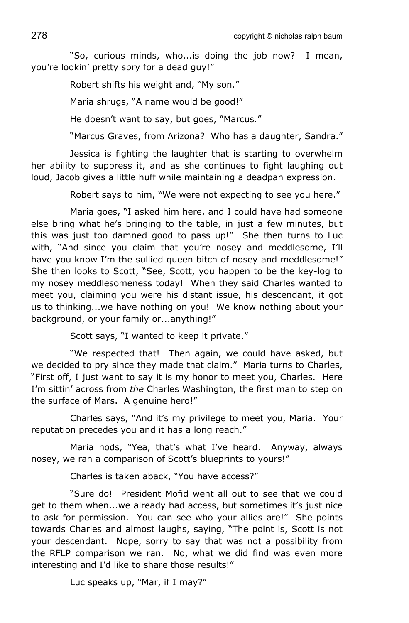"So, curious minds, who...is doing the job now? I mean, you're lookin' pretty spry for a dead guy!"

Robert shifts his weight and, "My son."

Maria shrugs, "A name would be good!"

He doesn't want to say, but goes, "Marcus."

"Marcus Graves, from Arizona? Who has a daughter, Sandra."

Jessica is fighting the laughter that is starting to overwhelm her ability to suppress it, and as she continues to fight laughing out loud, Jacob gives a little huff while maintaining a deadpan expression.

Robert says to him, "We were not expecting to see you here."

Maria goes, "I asked him here, and I could have had someone else bring what he's bringing to the table, in just a few minutes, but this was just too damned good to pass up!" She then turns to Luc with, "And since you claim that you're nosey and meddlesome, I'll have you know I'm the sullied queen bitch of nosey and meddlesome!" She then looks to Scott, "See, Scott, you happen to be the key-log to my nosey meddlesomeness today! When they said Charles wanted to meet you, claiming you were his distant issue, his descendant, it got us to thinking...we have nothing on you! We know nothing about your background, or your family or...anything!"

Scott says, "I wanted to keep it private."

"We respected that! Then again, we could have asked, but we decided to pry since they made that claim." Maria turns to Charles, "First off, I just want to say it is my honor to meet you, Charles. Here I'm sittin' across from *the* Charles Washington, the first man to step on the surface of Mars. A genuine hero!"

Charles says, "And it's my privilege to meet you, Maria. Your reputation precedes you and it has a long reach."

Maria nods, "Yea, that's what I've heard. Anyway, always nosey, we ran a comparison of Scott's blueprints to yours!"

Charles is taken aback, "You have access?"

"Sure do! President Mofid went all out to see that we could get to them when...we already had access, but sometimes it's just nice to ask for permission. You can see who your allies are!" She points towards Charles and almost laughs, saying, "The point is, Scott is not your descendant. Nope, sorry to say that was not a possibility from the RFLP comparison we ran. No, what we did find was even more interesting and I'd like to share those results!"

Luc speaks up, "Mar, if I may?"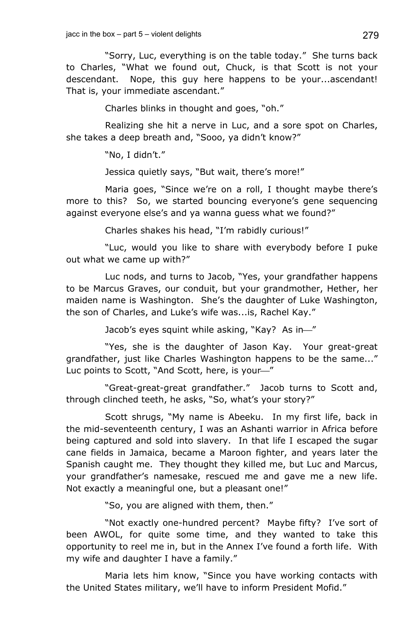"Sorry, Luc, everything is on the table today." She turns back to Charles, "What we found out, Chuck, is that Scott is not your descendant. Nope, this guy here happens to be your...ascendant! That is, your immediate ascendant."

Charles blinks in thought and goes, "oh."

Realizing she hit a nerve in Luc, and a sore spot on Charles, she takes a deep breath and, "Sooo, ya didn't know?"

"No, I didn't."

Jessica quietly says, "But wait, there's more!"

Maria goes, "Since we're on a roll, I thought maybe there's more to this? So, we started bouncing everyone's gene sequencing against everyone else's and ya wanna guess what we found?"

Charles shakes his head, "I'm rabidly curious!"

"Luc, would you like to share with everybody before I puke out what we came up with?"

Luc nods, and turns to Jacob, "Yes, your grandfather happens to be Marcus Graves, our conduit, but your grandmother, Hether, her maiden name is Washington. She's the daughter of Luke Washington, the son of Charles, and Luke's wife was...is, Rachel Kay."

Jacob's eyes squint while asking, "Kay? As in-"

"Yes, she is the daughter of Jason Kay. Your great-great grandfather, just like Charles Washington happens to be the same..." Luc points to Scott, "And Scott, here, is your-"

"Great-great-great grandfather." Jacob turns to Scott and, through clinched teeth, he asks, "So, what's your story?"

Scott shrugs, "My name is Abeeku. In my first life, back in the mid-seventeenth century, I was an Ashanti warrior in Africa before being captured and sold into slavery. In that life I escaped the sugar cane fields in Jamaica, became a Maroon fighter, and years later the Spanish caught me. They thought they killed me, but Luc and Marcus, your grandfather's namesake, rescued me and gave me a new life. Not exactly a meaningful one, but a pleasant one!"

"So, you are aligned with them, then."

"Not exactly one-hundred percent? Maybe fifty? I've sort of been AWOL, for quite some time, and they wanted to take this opportunity to reel me in, but in the Annex I've found a forth life. With my wife and daughter I have a family."

Maria lets him know, "Since you have working contacts with the United States military, we'll have to inform President Mofid."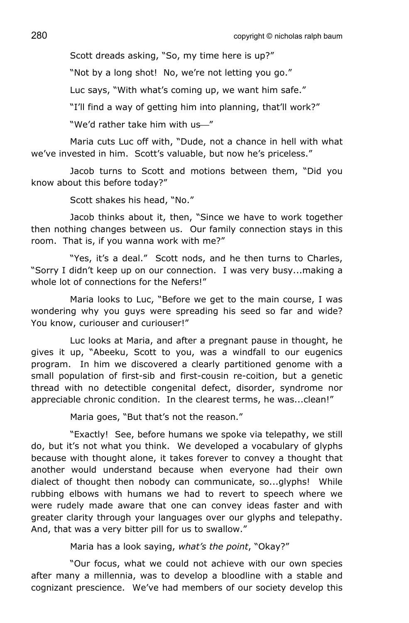Scott dreads asking, "So, my time here is up?"

"Not by a long shot! No, we're not letting you go."

Luc says, "With what's coming up, we want him safe."

"I'll find a way of getting him into planning, that'll work?"

"We'd rather take him with us<sup>"</sup>

Maria cuts Luc off with, "Dude, not a chance in hell with what we've invested in him. Scott's valuable, but now he's priceless."

Jacob turns to Scott and motions between them, "Did you know about this before today?"

Scott shakes his head, "No."

Jacob thinks about it, then, "Since we have to work together then nothing changes between us. Our family connection stays in this room. That is, if you wanna work with me?"

"Yes, it's a deal." Scott nods, and he then turns to Charles, "Sorry I didn't keep up on our connection. I was very busy...making a whole lot of connections for the Nefers!"

Maria looks to Luc, "Before we get to the main course, I was wondering why you guys were spreading his seed so far and wide? You know, curiouser and curiouser!"

Luc looks at Maria, and after a pregnant pause in thought, he gives it up, "Abeeku, Scott to you, was a windfall to our eugenics program. In him we discovered a clearly partitioned genome with a small population of first-sib and first-cousin re-coition, but a genetic thread with no detectible congenital defect, disorder, syndrome nor appreciable chronic condition. In the clearest terms, he was...clean!"

Maria goes, "But that's not the reason."

"Exactly! See, before humans we spoke via telepathy, we still do, but it's not what you think. We developed a vocabulary of glyphs because with thought alone, it takes forever to convey a thought that another would understand because when everyone had their own dialect of thought then nobody can communicate, so...glyphs! While rubbing elbows with humans we had to revert to speech where we were rudely made aware that one can convey ideas faster and with greater clarity through your languages over our glyphs and telepathy. And, that was a very bitter pill for us to swallow."

Maria has a look saying, *what's the point*, "Okay?"

"Our focus, what we could not achieve with our own species after many a millennia, was to develop a bloodline with a stable and cognizant prescience. We've had members of our society develop this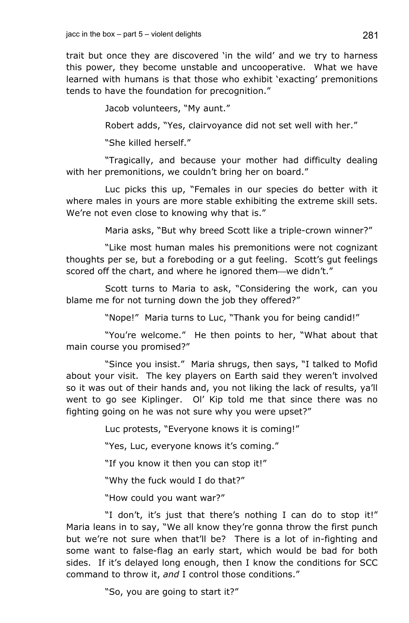trait but once they are discovered 'in the wild' and we try to harness this power, they become unstable and uncooperative. What we have learned with humans is that those who exhibit 'exacting' premonitions tends to have the foundation for precognition."

Jacob volunteers, "My aunt."

Robert adds, "Yes, clairvoyance did not set well with her."

"She killed herself."

"Tragically, and because your mother had difficulty dealing with her premonitions, we couldn't bring her on board."

Luc picks this up, "Females in our species do better with it where males in yours are more stable exhibiting the extreme skill sets. We're not even close to knowing why that is."

Maria asks, "But why breed Scott like a triple-crown winner?"

"Like most human males his premonitions were not cognizant thoughts per se, but a foreboding or a gut feeling. Scott's gut feelings scored off the chart, and where he ignored them—we didn't."

Scott turns to Maria to ask, "Considering the work, can you blame me for not turning down the job they offered?"

"Nope!" Maria turns to Luc, "Thank you for being candid!"

"You're welcome." He then points to her, "What about that main course you promised?"

"Since you insist." Maria shrugs, then says, "I talked to Mofid about your visit. The key players on Earth said they weren't involved so it was out of their hands and, you not liking the lack of results, ya'll went to go see Kiplinger. Ol' Kip told me that since there was no fighting going on he was not sure why you were upset?"

Luc protests, "Everyone knows it is coming!"

"Yes, Luc, everyone knows it's coming."

"If you know it then you can stop it!"

"Why the fuck would I do that?"

"How could you want war?"

"I don't, it's just that there's nothing I can do to stop it!" Maria leans in to say, "We all know they're gonna throw the first punch but we're not sure when that'll be? There is a lot of in-fighting and some want to false-flag an early start, which would be bad for both sides. If it's delayed long enough, then I know the conditions for SCC command to throw it, *and* I control those conditions."

"So, you are going to start it?"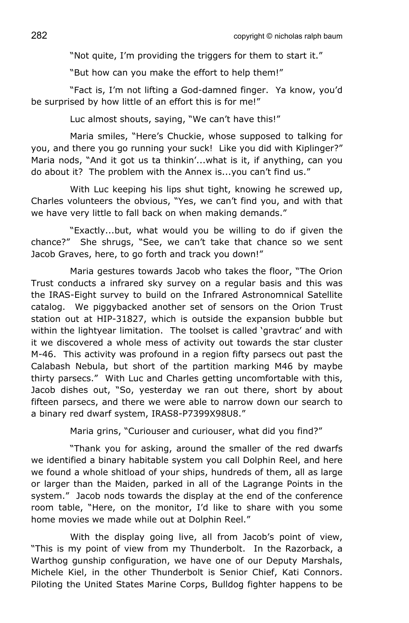"Not quite, I'm providing the triggers for them to start it."

"But how can you make the effort to help them!"

"Fact is, I'm not lifting a God-damned finger. Ya know, you'd be surprised by how little of an effort this is for me!"

Luc almost shouts, saying, "We can't have this!"

Maria smiles, "Here's Chuckie, whose supposed to talking for you, and there you go running your suck! Like you did with Kiplinger?" Maria nods, "And it got us ta thinkin'...what is it, if anything, can you do about it? The problem with the Annex is...you can't find us."

With Luc keeping his lips shut tight, knowing he screwed up, Charles volunteers the obvious, "Yes, we can't find you, and with that we have very little to fall back on when making demands."

"Exactly...but, what would you be willing to do if given the chance?" She shrugs, "See, we can't take that chance so we sent Jacob Graves, here, to go forth and track you down!"

Maria gestures towards Jacob who takes the floor, "The Orion Trust conducts a infrared sky survey on a regular basis and this was the IRAS-Eight survey to build on the Infrared Astronomnical Satellite catalog. We piggybacked another set of sensors on the Orion Trust station out at HIP-31827, which is outside the expansion bubble but within the lightyear limitation. The toolset is called 'gravtrac' and with it we discovered a whole mess of activity out towards the star cluster M-46. This activity was profound in a region fifty parsecs out past the Calabash Nebula, but short of the partition marking M46 by maybe thirty parsecs." With Luc and Charles getting uncomfortable with this, Jacob dishes out, "So, yesterday we ran out there, short by about fifteen parsecs, and there we were able to narrow down our search to a binary red dwarf system, IRAS8-P7399X98U8."

Maria grins, "Curiouser and curiouser, what did you find?"

"Thank you for asking, around the smaller of the red dwarfs we identified a binary habitable system you call Dolphin Reel, and here we found a whole shitload of your ships, hundreds of them, all as large or larger than the Maiden, parked in all of the Lagrange Points in the system." Jacob nods towards the display at the end of the conference room table, "Here, on the monitor, I'd like to share with you some home movies we made while out at Dolphin Reel."

With the display going live, all from Jacob's point of view, "This is my point of view from my Thunderbolt. In the Razorback, a Warthog gunship configuration, we have one of our Deputy Marshals, Michele Kiel, in the other Thunderbolt is Senior Chief, Kati Connors. Piloting the United States Marine Corps, Bulldog fighter happens to be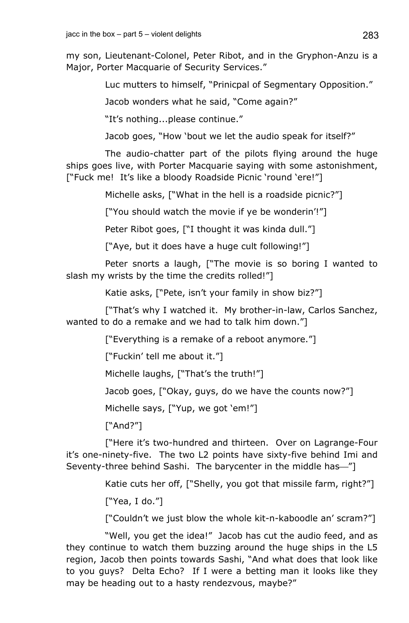my son, Lieutenant-Colonel, Peter Ribot, and in the Gryphon-Anzu is a Major, Porter Macquarie of Security Services."

Luc mutters to himself, "Prinicpal of Segmentary Opposition."

Jacob wonders what he said, "Come again?"

"It's nothing...please continue."

Jacob goes, "How 'bout we let the audio speak for itself?"

The audio-chatter part of the pilots flying around the huge ships goes live, with Porter Macquarie saying with some astonishment, ["Fuck me! It's like a bloody Roadside Picnic 'round 'ere!"]

Michelle asks, ["What in the hell is a roadside picnic?"]

["You should watch the movie if ye be wonderin'!"]

Peter Ribot goes, ["I thought it was kinda dull."]

["Aye, but it does have a huge cult following!"]

Peter snorts a laugh, ["The movie is so boring I wanted to slash my wrists by the time the credits rolled!"]

Katie asks, ["Pete, isn't your family in show biz?"]

["That's why I watched it. My brother-in-law, Carlos Sanchez, wanted to do a remake and we had to talk him down."]

["Everything is a remake of a reboot anymore."]

["Fuckin' tell me about it."]

Michelle laughs, ["That's the truth!"]

Jacob goes, ["Okay, guys, do we have the counts now?"]

Michelle says, ["Yup, we got 'em!"]

["And?"]

["Here it's two-hundred and thirteen. Over on Lagrange-Four it's one-ninety-five. The two L2 points have sixty-five behind Imi and Seventy-three behind Sashi. The barycenter in the middle has—"]

Katie cuts her off, ["Shelly, you got that missile farm, right?"]

["Yea, I do."]

["Couldn't we just blow the whole kit-n-kaboodle an' scram?"]

"Well, you get the idea!" Jacob has cut the audio feed, and as they continue to watch them buzzing around the huge ships in the L5 region, Jacob then points towards Sashi, "And what does that look like to you guys? Delta Echo? If I were a betting man it looks like they may be heading out to a hasty rendezvous, maybe?"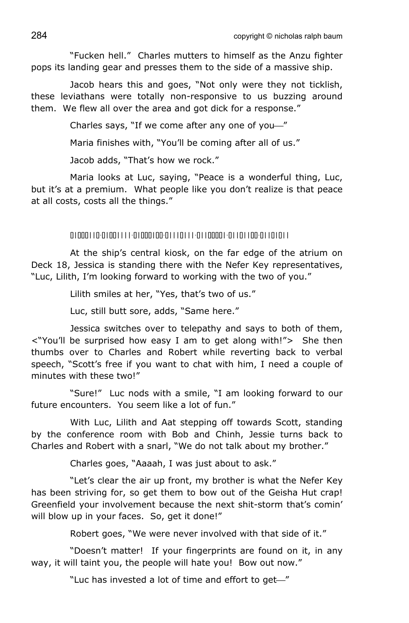"Fucken hell." Charles mutters to himself as the Anzu fighter pops its landing gear and presses them to the side of a massive ship.

Jacob hears this and goes, "Not only were they not ticklish, these leviathans were totally non-responsive to us buzzing around them. We flew all over the area and got dick for a response."

Charles says, "If we come after any one of you-"

Maria finishes with, "You'll be coming after all of us."

Jacob adds, "That's how we rock."

Maria looks at Luc, saying, "Peace is a wonderful thing, Luc, but it's at a premium. What people like you don't realize is that peace at all costs, costs all the things."

01000110-01001111-01000100-01110111-01100001-01101100-01101011

At the ship's central kiosk, on the far edge of the atrium on Deck 18, Jessica is standing there with the Nefer Key representatives, "Luc, Lilith, I'm looking forward to working with the two of you."

Lilith smiles at her, "Yes, that's two of us."

Luc, still butt sore, adds, "Same here."

Jessica switches over to telepathy and says to both of them, <"You'll be surprised how easy I am to get along with!"> She then thumbs over to Charles and Robert while reverting back to verbal speech, "Scott's free if you want to chat with him, I need a couple of minutes with these two!"

"Sure!" Luc nods with a smile, "I am looking forward to our future encounters. You seem like a lot of fun."

With Luc, Lilith and Aat stepping off towards Scott, standing by the conference room with Bob and Chinh, Jessie turns back to Charles and Robert with a snarl, "We do not talk about my brother."

Charles goes, "Aaaah, I was just about to ask."

"Let's clear the air up front, my brother is what the Nefer Key has been striving for, so get them to bow out of the Geisha Hut crap! Greenfield your involvement because the next shit-storm that's comin' will blow up in your faces. So, get it done!"

Robert goes, "We were never involved with that side of it."

"Doesn't matter! If your fingerprints are found on it, in any way, it will taint you, the people will hate you! Bow out now."

"Luc has invested a lot of time and effort to get-"